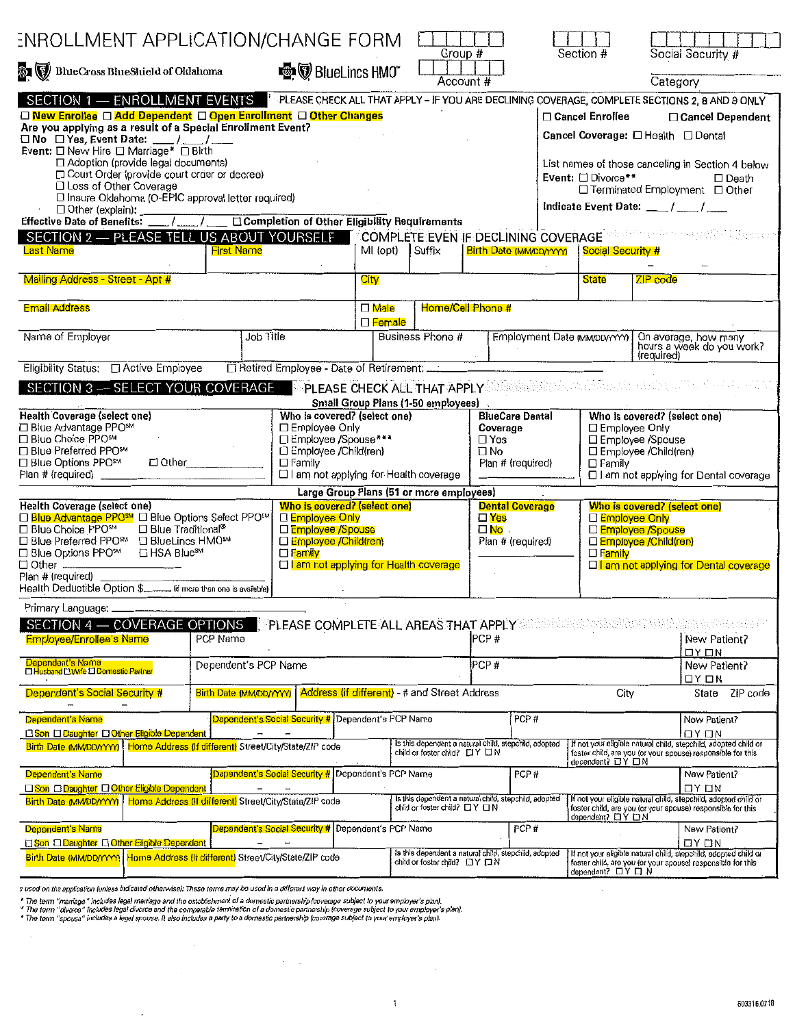| <b>ENROLLMENT APPLICATION/CHANGE FORM</b>                                                                                                                                                                                                                                                                                                                                                                                                                  |                                                  |                                                                                                                                                      |                                                                                                 |                                                                                         | Group #                                                                       |                              | Section #                                                                                                                                                       | Social Security #                                                                                                                                                                                                                                                                                                       |  |
|------------------------------------------------------------------------------------------------------------------------------------------------------------------------------------------------------------------------------------------------------------------------------------------------------------------------------------------------------------------------------------------------------------------------------------------------------------|--------------------------------------------------|------------------------------------------------------------------------------------------------------------------------------------------------------|-------------------------------------------------------------------------------------------------|-----------------------------------------------------------------------------------------|-------------------------------------------------------------------------------|------------------------------|-----------------------------------------------------------------------------------------------------------------------------------------------------------------|-------------------------------------------------------------------------------------------------------------------------------------------------------------------------------------------------------------------------------------------------------------------------------------------------------------------------|--|
| BlueCross BlueSlueld of Oklahoma                                                                                                                                                                                                                                                                                                                                                                                                                           | <b>图</b> BlueLincs HMO <sup>*</sup><br>Account # |                                                                                                                                                      |                                                                                                 |                                                                                         | Category                                                                      |                              |                                                                                                                                                                 |                                                                                                                                                                                                                                                                                                                         |  |
| SECTION 1 - ENROLLMENT EVENTS<br>□ New Enrollee □ Add Dependent □ Open Enrollment □ Other Changes<br>Are you applying as a result of a Special Enrollment Event?<br>$\Box$ No $\Box$ Yes, Event Date: __/_/_/__<br>Event: □ New Hire □ Marriage* □ Birth<br>□ Adoption (provide legal documents)<br>□ Court Order (provide court order or decree)<br>□ Loss of Other Coverage<br>□ Insure Oklahoma (O-EPIC approval letter required)<br>□ Other (explain): |                                                  |                                                                                                                                                      |                                                                                                 |                                                                                         |                                                                               |                              | □ Cancel Enrollee<br>Event: □ Divorce**                                                                                                                         | PLEASE CHECK ALL THAT APPLY - IF YOU ARE DECLINING COVERAGE, COMPLETE SECTIONS 2, 8 AND 9 ONLY<br>□ Cancel Dependent<br>Cancel Coverage: □ Health □ Dental<br>List names of those canceling in Section 4 below<br>$\Box$ Death<br>□ Terminated Employment □ Other<br>Indicate Event Date: $\frac{1}{2}$ / $\frac{1}{2}$ |  |
| Effective Date of Benefits: $\sqrt{\frac{1}{1-\frac{1}{2}}}$ Completion of Other Eligibility Requirements<br>SECTION 2 - PLEASE TELL US ABOUT YOURSELF<br>Last Name                                                                                                                                                                                                                                                                                        | <b>First Name</b>                                |                                                                                                                                                      | MI (opt)                                                                                        | Suffix                                                                                  |                                                                               | Birth Date (MM/DD/YYYY)      | Social Security #                                                                                                                                               | COMPLETE EVEN IF DECLINING COVERAGE WELL THE DECISION OF                                                                                                                                                                                                                                                                |  |
| Mailing Address - Street - Apt #                                                                                                                                                                                                                                                                                                                                                                                                                           |                                                  |                                                                                                                                                      | City                                                                                            |                                                                                         |                                                                               |                              | State                                                                                                                                                           | ZIP code                                                                                                                                                                                                                                                                                                                |  |
| <b>Email Address</b>                                                                                                                                                                                                                                                                                                                                                                                                                                       |                                                  | $\square$ Male<br>$\square$ Female                                                                                                                   |                                                                                                 | Home/Cell Phone #                                                                       |                                                                               |                              |                                                                                                                                                                 |                                                                                                                                                                                                                                                                                                                         |  |
| Name of Employer                                                                                                                                                                                                                                                                                                                                                                                                                                           | Job Title                                        |                                                                                                                                                      |                                                                                                 | Business Phone #                                                                        |                                                                               | Employment Date (MM/DD/YYYY) |                                                                                                                                                                 | On average, how many<br>hours a week do you work?<br>frequired)                                                                                                                                                                                                                                                         |  |
| SECTION 3 - SELECT YOUR COVERAGE                                                                                                                                                                                                                                                                                                                                                                                                                           |                                                  | □ Retired Employee - Date of Retirement:                                                                                                             |                                                                                                 | PLEASE CHECK ALL THAT APPLY                                                             |                                                                               |                              |                                                                                                                                                                 | an an Dùbhlachadh anns a                                                                                                                                                                                                                                                                                                |  |
| Who is covered? (select one)<br>Health Coverage (select one)<br>□ Employee Only<br>□ Blue Advantage PPOSM<br>□ Employee /Spouse ***<br>□ Blue Choice PPO <sup>5M</sup><br>□ Employee /Child(ren)<br>□ Blue Preferred PPO <sup>5M</sup><br>$\Box$ Other<br>$\square$ Family<br>□ Blue Options PPO <sup>sM</sup><br>□ I am not applying for Health coverage<br>Plan # (required) ______                                                                      |                                                  |                                                                                                                                                      |                                                                                                 | <b>Small Group Plans (1-50 employees)</b><br>Large Group Plans (51 or more employees)   | <b>BlueCare Dental</b><br>Coverage<br>$\Box$ Yes<br>□ No<br>Plan # (required) |                              | Who is covered? (select one)<br>□ Employee Only<br>□ Employee /Spouse<br>□ Employee /Child(ren)<br>$\Box$ Family<br>□ I am not applying for Dental coverage     |                                                                                                                                                                                                                                                                                                                         |  |
| Health Coverage (select one)<br>□ Blue Advantage PPO <sup>SM</sup> □ Blue Options Select PPO <sup>SM</sup><br>□ Blue Choice PPOSM<br>$\Box$ Blue Traditional <sup>®</sup><br>□ Blue Preferred PPOSM<br>□ BlueLincs HMO <sup>sM</sup><br>□ Blue Options PPOSM<br>□ HSA Blue <sup>sM</sup><br>$\Box$ Other $\Box$<br>Plan # (required)<br>Health Deductible Option \$._____ (if more than one is available)                                                  |                                                  | Who is covered? (select one)<br>□ Employee Only<br>DEmployee /Spouse<br>□ Employee / Child(ren)<br>□ Family<br>□ am not applying for Health coverage |                                                                                                 |                                                                                         | <b>Dental Coverage</b><br>口Yes<br>$\square$ No $\square$<br>Plan # (required) |                              | Who is covered? (select one)<br>□ Employee Only<br>D<br>Chiployee /Spouse<br>DEmployee /Child(ren)<br>D Family<br><b>Di</b> am not applying for Dental coverage |                                                                                                                                                                                                                                                                                                                         |  |
| Primary Language:<br>SECTION 4 - COVERAGE OPTIONS PLEASE COMPLETE ALL AREAS THAT APPLY<br><b>Employee/Enrollee's Name</b><br>Dependent's Name                                                                                                                                                                                                                                                                                                              | PCP Name                                         |                                                                                                                                                      |                                                                                                 |                                                                                         | PCP#<br>PCP#                                                                  |                              | Kalendari (Kroacete)                                                                                                                                            | New Patient?<br>$DY$ $\Box$ N<br>New Patient?                                                                                                                                                                                                                                                                           |  |
| Dependent's PCP Name<br><b>THusband LI Wife LI Domestic Partner</b>                                                                                                                                                                                                                                                                                                                                                                                        |                                                  |                                                                                                                                                      |                                                                                                 | Address (if different) - # and Street Address                                           |                                                                               |                              | ロイ ロN                                                                                                                                                           |                                                                                                                                                                                                                                                                                                                         |  |
| Dependent's Social Security #<br>Dependent's Name                                                                                                                                                                                                                                                                                                                                                                                                          | <b>Birth Date (MM/DD/YYYY)</b>                   | Dependent's Social Security # Dependent's PCP Name                                                                                                   |                                                                                                 |                                                                                         |                                                                               | PCP#                         | City                                                                                                                                                            | ZiP code<br>State<br>New Patient?                                                                                                                                                                                                                                                                                       |  |
| <b>Son ODaughter OOther Eligible Dependent</b><br>Home Address (If different) Street/City/State/ZIP code<br>Birth Date (MM/DD/YYYY)                                                                                                                                                                                                                                                                                                                        |                                                  |                                                                                                                                                      | Is this dependent a natural child, stepchild, adopted<br>child or foster child? $\Box Y \Box N$ |                                                                                         |                                                                               |                              | ロY ロN<br>If not your eligible natural child, stepchild, adopted child or<br>foster child, are you (or your spouse) responsible for this<br>dependent? ロY ロN     |                                                                                                                                                                                                                                                                                                                         |  |
| Dependent's Namer<br>Son CDaughter COther Eligible Dependent<br>Birth Date (MM/DD/YYYY)   Home Address (if different) Street/City/State/ZIP code                                                                                                                                                                                                                                                                                                           |                                                  | Dependent's Social Security # Dependent's PCP Name                                                                                                   |                                                                                                 | is this dependent a natural child, stepchild, adopted<br>child or foster child? □Y □N   |                                                                               | PCP#                         | dependent? DY DN                                                                                                                                                | New Patient?<br>$\Box$ $\vee$ $\Box$ $\vee$<br>If not your eligible natural child, stepchild, adopted child or<br>foster child, are you (or your spouse) responsible for this                                                                                                                                           |  |
| Dependent's Name<br><b>ESon DDaughter EOther Eligible Dependent:</b><br>Birth Date (MM/DD/YYYY) Home Address (If different) Street/City/State/ZIP code                                                                                                                                                                                                                                                                                                     |                                                  | Dependent's Social Security # Dependent's PCP Name                                                                                                   |                                                                                                 | is this dependent a natural child, stepchild, adopted<br>child or foster child? LIY LIN |                                                                               | PCP#                         | dependent? □Y□N                                                                                                                                                 | New Patient?<br>$\Box$ $\vee$ $\Box$ $\wedge$<br>If not your eligible natural child, stepchild, adopted child or<br>foster child, are you (or your spouse) responsible for this                                                                                                                                         |  |

s used on the application (unless indicated otherwise); These terms may be used in a different way in other documents.

 $\sim$   $\sim$ 

 $\epsilon$ 

 $\overline{\phantom{a}}$ 

" The term "marriage" includes legal marriage and the establishment of a domestic partnership (coverage subject to your employer's plan).<br>"The term "divorce" includes legal divorce and the comparable termination of a domes

 $\label{eq:2.1} \mathcal{L}(\mathcal{L}^{\mathcal{L}}(\mathcal{L}^{\mathcal{L}}(\mathcal{L}^{\mathcal{L}}(\mathcal{L}^{\mathcal{L}}(\mathcal{L}^{\mathcal{L}}(\mathcal{L}^{\mathcal{L}}(\mathcal{L}^{\mathcal{L}}(\mathcal{L}^{\mathcal{L}}(\mathcal{L}^{\mathcal{L}}(\mathcal{L}^{\mathcal{L}}(\mathcal{L}^{\mathcal{L}}(\mathcal{L}^{\mathcal{L}}(\mathcal{L}^{\mathcal{L}}(\mathcal{L}^{\mathcal{L}}(\mathcal{L}^{\mathcal{L}}(\mathcal{L}^{\mathcal$